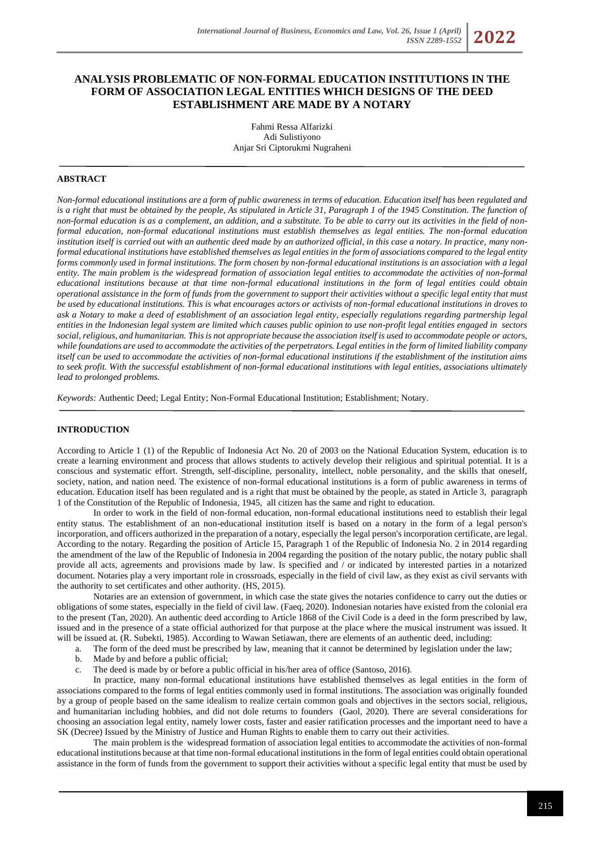# **ANALYSIS PROBLEMATIC OF NON-FORMAL EDUCATION INSTITUTIONS IN THE FORM OF ASSOCIATION LEGAL ENTITIES WHICH DESIGNS OF THE DEED ESTABLISHMENT ARE MADE BY A NOTARY**

Fahmi Ressa Alfarizki Adi Sulistiyono Anjar Sri Ciptorukmi Nugraheni

## **ABSTRACT**

*Non-formal educational institutions are a form of public awareness in terms of education. Education itself has been regulated and* is a right that must be obtained by the people, As stipulated in Article 31, Paragraph 1 of the 1945 Constitution. The function of *non-formal education is as a complement, an addition, and a substitute. To be able to carry out its activities in the field of nonformal education, non-formal educational institutions must establish themselves as legal entities. The non-formal education institution itself is carried out with an authentic deed made by an authorized official, in this case a notary. In practice, many nonformal educational institutions have established themselves as legal entities in the form of associations compared to the legal entity forms commonly used in formal institutions. The form chosen by non-formal educational institutions is an association with a legal entity. The main problem is the widespread formation of association legal entities to accommodate the activities of non-formal educational institutions because at that time non-formal educational institutions in the form of legal entities could obtain operational assistance in the form of funds from the government to support their activities without a specific legal entity that must be used by educational institutions. This is what encourages actors or activists of non-formal educational institutions in droves to ask a Notary to make a deed of establishment of an association legal entity, especially regulations regarding partnership legal entities in the Indonesian legal system are limited which causes public opinion to use non-profit legal entities engaged in sectors social, religious, and humanitarian. This is not appropriate because the association itself is used to accommodate people or actors, while foundations are used to accommodate the activities of the perpetrators. Legal entities in the form of limited liability company itself can be used to accommodate the activities of non-formal educational institutions if the establishment of the institution aims to seek profit. With the successful establishment of non-formal educational institutions with legal entities, associations ultimately lead to prolonged problems.*

*Keywords:* Authentic Deed; Legal Entity; Non-Formal Educational Institution; Establishment; Notary.

#### **INTRODUCTION**

According to Article 1 (1) of the Republic of Indonesia Act No. 20 of 2003 on the National Education System, education is to create a learning environment and process that allows students to actively develop their religious and spiritual potential. It is a conscious and systematic effort. Strength, self-discipline, personality, intellect, noble personality, and the skills that oneself, society, nation, and nation need. The existence of non-formal educational institutions is a form of public awareness in terms of education. Education itself has been regulated and is a right that must be obtained by the people, as stated in Article 3, paragraph 1 of the Constitution of the Republic of Indonesia, 1945, all citizen has the same and right to education.

In order to work in the field of non-formal education, non-formal educational institutions need to establish their legal entity status. The establishment of an non-educational institution itself is based on a notary in the form of a legal person's incorporation, and officers authorized in the preparation of a notary, especially the legal person's incorporation certificate, are legal. According to the notary. Regarding the position of Article 15, Paragraph 1 of the Republic of Indonesia No. 2 in 2014 regarding the amendment of the law of the Republic of Indonesia in 2004 regarding the position of the notary public, the notary public shall provide all acts, agreements and provisions made by law. Is specified and / or indicated by interested parties in a notarized document. Notaries play a very important role in crossroads, especially in the field of civil law, as they exist as civil servants with the authority to set certificates and other authority. (HS, 2015).

Notaries are an extension of government, in which case the state gives the notaries confidence to carry out the duties or obligations of some states, especially in the field of civil law. (Faeq, 2020). Indonesian notaries have existed from the colonial era to the present (Tan, 2020). An authentic deed according to Article 1868 of the Civil Code is a deed in the form prescribed by law, issued and in the presence of a state official authorized for that purpose at the place where the musical instrument was issued. It will be issued at. (R. Subekti, 1985). According to Wawan Setiawan, there are elements of an authentic deed, including:

a. The form of the deed must be prescribed by law, meaning that it cannot be determined by legislation under the law;

- b. Made by and before a public official;
- c. The deed is made by or before a public official in his/her area of office (Santoso, 2016).

In practice, many non-formal educational institutions have established themselves as legal entities in the form of associations compared to the forms of legal entities commonly used in formal institutions. The association was originally founded by a group of people based on the same idealism to realize certain common goals and objectives in the sectors social, religious, and humanitarian including hobbies, and did not dole returns to founders (Gaol, 2020). There are several considerations for choosing an association legal entity, namely lower costs, faster and easier ratification processes and the important need to have a SK (Decree) Issued by the Ministry of Justice and Human Rights to enable them to carry out their activities.

The main problem is the widespread formation of association legal entities to accommodate the activities of non-formal educational institutions because at that time non-formal educational institutions in the form of legal entities could obtain operational assistance in the form of funds from the government to support their activities without a specific legal entity that must be used by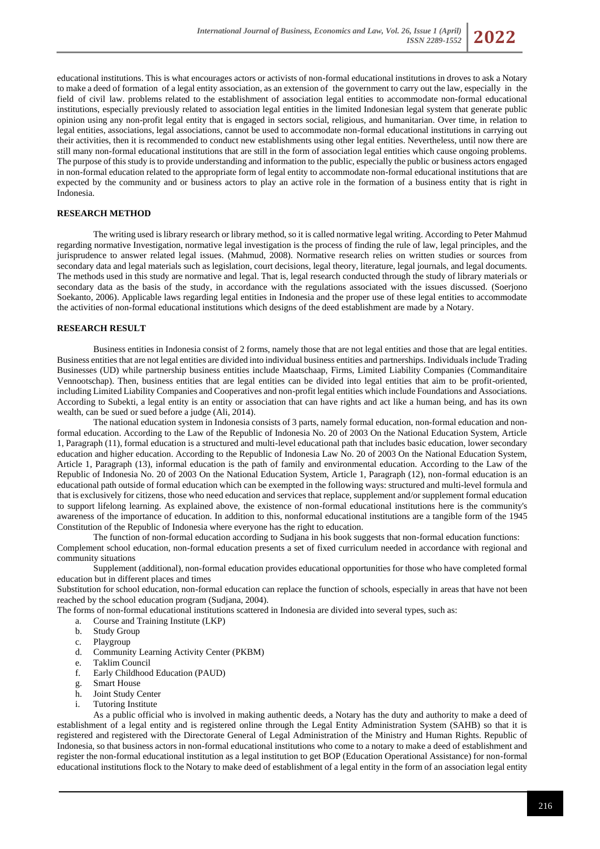

educational institutions. This is what encourages actors or activists of non-formal educational institutions in droves to ask a Notary to make a deed of formation of a legal entity association, as an extension of the government to carry out the law, especially in the field of civil law. problems related to the establishment of association legal entities to accommodate non-formal educational institutions, especially previously related to association legal entities in the limited Indonesian legal system that generate public opinion using any non-profit legal entity that is engaged in sectors social, religious, and humanitarian. Over time, in relation to legal entities, associations, legal associations, cannot be used to accommodate non-formal educational institutions in carrying out their activities, then it is recommended to conduct new establishments using other legal entities. Nevertheless, until now there are still many non-formal educational institutions that are still in the form of association legal entities which cause ongoing problems. The purpose of this study is to provide understanding and information to the public, especially the public or business actors engaged in non-formal education related to the appropriate form of legal entity to accommodate non-formal educational institutions that are expected by the community and or business actors to play an active role in the formation of a business entity that is right in Indonesia.

#### **RESEARCH METHOD**

The writing used is library research or library method, so it is called normative legal writing. According to Peter Mahmud regarding normative Investigation, normative legal investigation is the process of finding the rule of law, legal principles, and the jurisprudence to answer related legal issues. (Mahmud, 2008). Normative research relies on written studies or sources from secondary data and legal materials such as legislation, court decisions, legal theory, literature, legal journals, and legal documents. The methods used in this study are normative and legal. That is, legal research conducted through the study of library materials or secondary data as the basis of the study, in accordance with the regulations associated with the issues discussed. (Soerjono Soekanto, 2006). Applicable laws regarding legal entities in Indonesia and the proper use of these legal entities to accommodate the activities of non-formal educational institutions which designs of the deed establishment are made by a Notary.

#### **RESEARCH RESULT**

Business entities in Indonesia consist of 2 forms, namely those that are not legal entities and those that are legal entities. Business entities that are not legal entities are divided into individual business entities and partnerships. Individuals include Trading Businesses (UD) while partnership business entities include Maatschaap, Firms, Limited Liability Companies (Commanditaire Vennootschap). Then, business entities that are legal entities can be divided into legal entities that aim to be profit-oriented, including Limited Liability Companies and Cooperatives and non-profit legal entities which include Foundations and Associations. According to Subekti, a legal entity is an entity or association that can have rights and act like a human being, and has its own wealth, can be sued or sued before a judge (Ali, 2014).

The national education system in Indonesia consists of 3 parts, namely formal education, non-formal education and nonformal education. According to the Law of the Republic of Indonesia No. 20 of 2003 On the National Education System, Article 1, Paragraph (11), formal education is a structured and multi-level educational path that includes basic education, lower secondary education and higher education. According to the Republic of Indonesia Law No. 20 of 2003 On the National Education System, Article 1, Paragraph (13), informal education is the path of family and environmental education. According to the Law of the Republic of Indonesia No. 20 of 2003 On the National Education System, Article 1, Paragraph (12), non-formal education is an educational path outside of formal education which can be exempted in the following ways: structured and multi-level formula and that is exclusively for citizens, those who need education and services that replace, supplement and/or supplement formal education to support lifelong learning. As explained above, the existence of non-formal educational institutions here is the community's awareness of the importance of education. In addition to this, nonformal educational institutions are a tangible form of the 1945 Constitution of the Republic of Indonesia where everyone has the right to education.

The function of non-formal education according to Sudjana in his book suggests that non-formal education functions: Complement school education, non-formal education presents a set of fixed curriculum needed in accordance with regional and community situations

Supplement (additional), non-formal education provides educational opportunities for those who have completed formal education but in different places and times

Substitution for school education, non-formal education can replace the function of schools, especially in areas that have not been reached by the school education program (Sudjana, 2004).

The forms of non-formal educational institutions scattered in Indonesia are divided into several types, such as:

- a. Course and Training Institute (LKP)
- b. Study Group
- c. Playgroup
- d. Community Learning Activity Center (PKBM)
- e. Taklim Council
- f. Early Childhood Education (PAUD)
- g. Smart House
- h. Joint Study Center
- i. Tutoring Institute

As a public official who is involved in making authentic deeds, a Notary has the duty and authority to make a deed of establishment of a legal entity and is registered online through the Legal Entity Administration System (SAHB) so that it is registered and registered with the Directorate General of Legal Administration of the Ministry and Human Rights. Republic of Indonesia, so that business actors in non-formal educational institutions who come to a notary to make a deed of establishment and register the non-formal educational institution as a legal institution to get BOP (Education Operational Assistance) for non-formal educational institutions flock to the Notary to make deed of establishment of a legal entity in the form of an association legal entity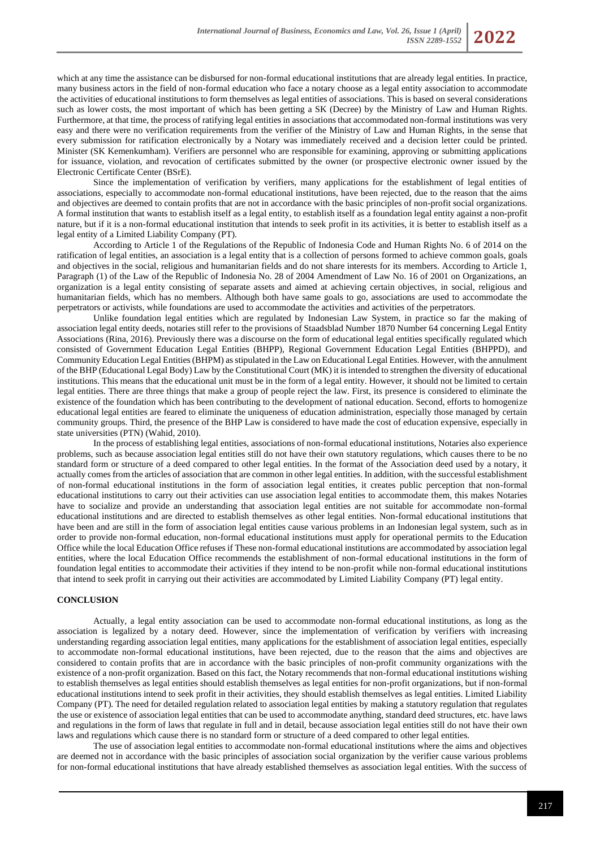which at any time the assistance can be disbursed for non-formal educational institutions that are already legal entities. In practice, many business actors in the field of non-formal education who face a notary choose as a legal entity association to accommodate the activities of educational institutions to form themselves as legal entities of associations. This is based on several considerations such as lower costs, the most important of which has been getting a SK (Decree) by the Ministry of Law and Human Rights. Furthermore, at that time, the process of ratifying legal entities in associations that accommodated non-formal institutions was very easy and there were no verification requirements from the verifier of the Ministry of Law and Human Rights, in the sense that every submission for ratification electronically by a Notary was immediately received and a decision letter could be printed. Minister (SK Kemenkumham). Verifiers are personnel who are responsible for examining, approving or submitting applications for issuance, violation, and revocation of certificates submitted by the owner (or prospective electronic owner issued by the Electronic Certificate Center (BSrE).

Since the implementation of verification by verifiers, many applications for the establishment of legal entities of associations, especially to accommodate non-formal educational institutions, have been rejected, due to the reason that the aims and objectives are deemed to contain profits that are not in accordance with the basic principles of non-profit social organizations. A formal institution that wants to establish itself as a legal entity, to establish itself as a foundation legal entity against a non-profit nature, but if it is a non-formal educational institution that intends to seek profit in its activities, it is better to establish itself as a legal entity of a Limited Liability Company (PT).

According to Article 1 of the Regulations of the Republic of Indonesia Code and Human Rights No. 6 of 2014 on the ratification of legal entities, an association is a legal entity that is a collection of persons formed to achieve common goals, goals and objectives in the social, religious and humanitarian fields and do not share interests for its members. According to Article 1, Paragraph (1) of the Law of the Republic of Indonesia No. 28 of 2004 Amendment of Law No. 16 of 2001 on Organizations, an organization is a legal entity consisting of separate assets and aimed at achieving certain objectives, in social, religious and humanitarian fields, which has no members. Although both have same goals to go, associations are used to accommodate the perpetrators or activists, while foundations are used to accommodate the activities and activities of the perpetrators.

Unlike foundation legal entities which are regulated by Indonesian Law System, in practice so far the making of association legal entity deeds, notaries still refer to the provisions of Staadsblad Number 1870 Number 64 concerning Legal Entity Associations (Rina, 2016). Previously there was a discourse on the form of educational legal entities specifically regulated which consisted of Government Education Legal Entities (BHPP), Regional Government Education Legal Entities (BHPPD), and Community Education Legal Entities (BHPM) as stipulated in the Law on Educational Legal Entities. However, with the annulment of the BHP (Educational Legal Body) Law by the Constitutional Court (MK) it is intended to strengthen the diversity of educational institutions. This means that the educational unit must be in the form of a legal entity. However, it should not be limited to certain legal entities. There are three things that make a group of people reject the law. First, its presence is considered to eliminate the existence of the foundation which has been contributing to the development of national education. Second, efforts to homogenize educational legal entities are feared to eliminate the uniqueness of education administration, especially those managed by certain community groups. Third, the presence of the BHP Law is considered to have made the cost of education expensive, especially in state universities (PTN) (Wahid, 2010).

In the process of establishing legal entities, associations of non-formal educational institutions, Notaries also experience problems, such as because association legal entities still do not have their own statutory regulations, which causes there to be no standard form or structure of a deed compared to other legal entities. In the format of the Association deed used by a notary, it actually comes from the articles of association that are common in other legal entities. In addition, with the successful establishment of non-formal educational institutions in the form of association legal entities, it creates public perception that non-formal educational institutions to carry out their activities can use association legal entities to accommodate them, this makes Notaries have to socialize and provide an understanding that association legal entities are not suitable for accommodate non-formal educational institutions and are directed to establish themselves as other legal entities. Non-formal educational institutions that have been and are still in the form of association legal entities cause various problems in an Indonesian legal system, such as in order to provide non-formal education, non-formal educational institutions must apply for operational permits to the Education Office while the local Education Office refuses if These non-formal educational institutions are accommodated by association legal entities, where the local Education Office recommends the establishment of non-formal educational institutions in the form of foundation legal entities to accommodate their activities if they intend to be non-profit while non-formal educational institutions that intend to seek profit in carrying out their activities are accommodated by Limited Liability Company (PT) legal entity.

## **CONCLUSION**

Actually, a legal entity association can be used to accommodate non-formal educational institutions, as long as the association is legalized by a notary deed. However, since the implementation of verification by verifiers with increasing understanding regarding association legal entities, many applications for the establishment of association legal entities, especially to accommodate non-formal educational institutions, have been rejected, due to the reason that the aims and objectives are considered to contain profits that are in accordance with the basic principles of non-profit community organizations with the existence of a non-profit organization. Based on this fact, the Notary recommends that non-formal educational institutions wishing to establish themselves as legal entities should establish themselves as legal entities for non-profit organizations, but if non-formal educational institutions intend to seek profit in their activities, they should establish themselves as legal entities. Limited Liability Company (PT). The need for detailed regulation related to association legal entities by making a statutory regulation that regulates the use or existence of association legal entities that can be used to accommodate anything, standard deed structures, etc. have laws and regulations in the form of laws that regulate in full and in detail, because association legal entities still do not have their own laws and regulations which cause there is no standard form or structure of a deed compared to other legal entities.

The use of association legal entities to accommodate non-formal educational institutions where the aims and objectives are deemed not in accordance with the basic principles of association social organization by the verifier cause various problems for non-formal educational institutions that have already established themselves as association legal entities. With the success of